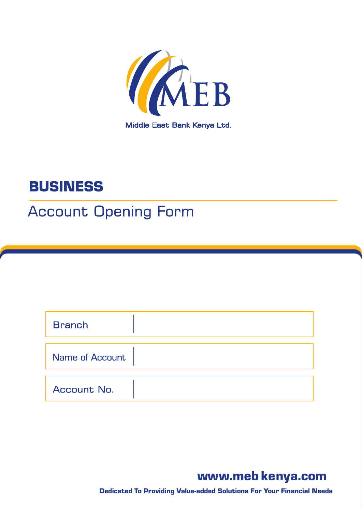

# **BUSINESS**

# **Account Opening Form**

| <b>Branch</b>          |  |
|------------------------|--|
|                        |  |
| <b>Name of Account</b> |  |
| Account No.            |  |

## www.meb kenya.com

Dedicated To Providing Value-added Solutions For Your Financial Needs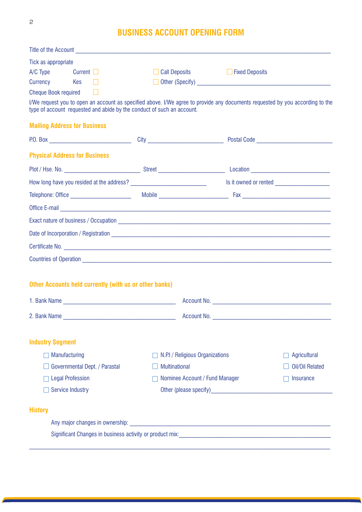## **BUSINESS ACCOUNT OPENING FORM**

| Title of the Account <b>contract of the Account</b> and the Account of the Account of the Account of the Account of the Account of the Account of the Account of the Account of the Account of the Account of the Account of the Ac  |                                 |                                  |                        |
|--------------------------------------------------------------------------------------------------------------------------------------------------------------------------------------------------------------------------------------|---------------------------------|----------------------------------|------------------------|
| Tick as appropriate                                                                                                                                                                                                                  |                                 |                                  |                        |
| $A/C$ Type Current $\Box$                                                                                                                                                                                                            |                                 | □ Call Deposits □ Fixed Deposits |                        |
| Currency Kes □                                                                                                                                                                                                                       |                                 |                                  |                        |
| Cheque Book required $\Box$                                                                                                                                                                                                          |                                 |                                  |                        |
| I/We request you to open an account as specified above. I/We agree to provide any documents requested by you according to the<br>type of account requested and abide by the conduct of such an account.                              |                                 |                                  |                        |
| <b>Mailing Address for Business</b>                                                                                                                                                                                                  |                                 |                                  |                        |
|                                                                                                                                                                                                                                      |                                 |                                  |                        |
| <b>Physical Address for Business</b>                                                                                                                                                                                                 |                                 |                                  |                        |
|                                                                                                                                                                                                                                      |                                 |                                  |                        |
|                                                                                                                                                                                                                                      |                                 |                                  |                        |
|                                                                                                                                                                                                                                      |                                 |                                  |                        |
| Office E-mail <b>contract and the contract of the contract of the contract of the contract of the contract of the contract of the contract of the contract of the contract of the contract of the contract of the contract of th</b> |                                 |                                  |                        |
|                                                                                                                                                                                                                                      |                                 |                                  |                        |
|                                                                                                                                                                                                                                      |                                 |                                  |                        |
|                                                                                                                                                                                                                                      |                                 |                                  |                        |
|                                                                                                                                                                                                                                      |                                 |                                  |                        |
|                                                                                                                                                                                                                                      |                                 |                                  |                        |
| <b>Other Accounts held currently (with us or other banks)</b>                                                                                                                                                                        |                                 |                                  |                        |
|                                                                                                                                                                                                                                      |                                 |                                  |                        |
| 2. Bank Name                                                                                                                                                                                                                         | Account No.                     |                                  |                        |
|                                                                                                                                                                                                                                      |                                 |                                  |                        |
| <b>Industry Segment</b>                                                                                                                                                                                                              |                                 |                                  |                        |
| Manufacturing                                                                                                                                                                                                                        | N.P.I / Religious Organizations |                                  | <b>Agricultural</b>    |
| Governmental Dept. / Parastal                                                                                                                                                                                                        | <b>Multinational</b>            |                                  | <b>Oil/Oil Related</b> |
| <b>Legal Profession</b>                                                                                                                                                                                                              | Nominee Account / Fund Manager  |                                  | Insurance              |
| <b>Service Industry</b>                                                                                                                                                                                                              |                                 |                                  |                        |
| <b>History</b>                                                                                                                                                                                                                       |                                 |                                  |                        |
|                                                                                                                                                                                                                                      |                                 |                                  |                        |
|                                                                                                                                                                                                                                      |                                 |                                  |                        |
|                                                                                                                                                                                                                                      |                                 |                                  |                        |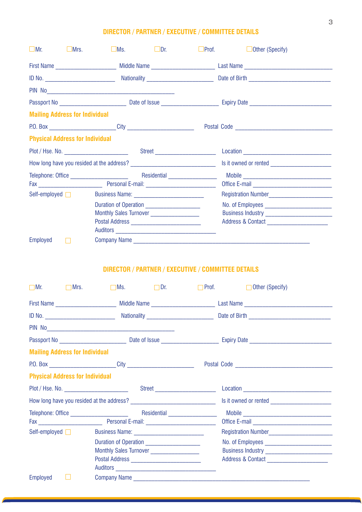### **DIRECTOR / PARTNER / EXECUTIVE / COMMITTEE DETAILS**

| $\Box$ Mr.<br><b>Example 18</b> Mrs.   | $\Box$ Dr.<br>$\Box$ Ms.                                                         | $\Box$ Prof. | $\Box$ Other (Specify) |  |
|----------------------------------------|----------------------------------------------------------------------------------|--------------|------------------------|--|
|                                        |                                                                                  |              |                        |  |
|                                        |                                                                                  |              |                        |  |
|                                        |                                                                                  |              |                        |  |
|                                        |                                                                                  |              |                        |  |
| <b>Mailing Address for Individual</b>  |                                                                                  |              |                        |  |
|                                        | P.O. Box ________________________________City __________________________________ |              |                        |  |
| <b>Physical Address for Individual</b> |                                                                                  |              |                        |  |
|                                        |                                                                                  |              |                        |  |
|                                        |                                                                                  |              |                        |  |
|                                        |                                                                                  |              |                        |  |
|                                        |                                                                                  |              |                        |  |
| Self-employed $\Box$                   |                                                                                  |              |                        |  |
|                                        |                                                                                  |              |                        |  |
|                                        | Monthly Sales Turnover ____________________                                      |              |                        |  |
|                                        |                                                                                  |              |                        |  |
|                                        |                                                                                  |              |                        |  |
| Employed<br>$\Box$                     |                                                                                  |              |                        |  |

### **DIRECTOR / PARTNER / EXECUTIVE / COMMITTEE DETAILS**

| $\Box$ Mr.<br><b>Example 18</b> Mrs.                                             | $\Box$ Ms.                                  | $\Box$ Dr. | Prof. <b>D</b> Other (Specify) |  |
|----------------------------------------------------------------------------------|---------------------------------------------|------------|--------------------------------|--|
|                                                                                  |                                             |            |                                |  |
|                                                                                  |                                             |            |                                |  |
|                                                                                  |                                             |            |                                |  |
|                                                                                  |                                             |            |                                |  |
| <b>Mailing Address for Individual</b>                                            |                                             |            |                                |  |
| P.O. Box _______________________________City ___________________________________ |                                             |            |                                |  |
| <b>Physical Address for Individual</b>                                           |                                             |            |                                |  |
|                                                                                  |                                             |            |                                |  |
|                                                                                  |                                             |            |                                |  |
| Telephone: Office _______________________                                        |                                             |            |                                |  |
|                                                                                  |                                             |            |                                |  |
| Self-employed $\Box$                                                             |                                             |            |                                |  |
|                                                                                  | Duration of Operation                       |            |                                |  |
|                                                                                  | Monthly Sales Turnover ____________________ |            |                                |  |
|                                                                                  |                                             |            |                                |  |
|                                                                                  |                                             |            |                                |  |
| Employed                                                                         | Company Name                                |            |                                |  |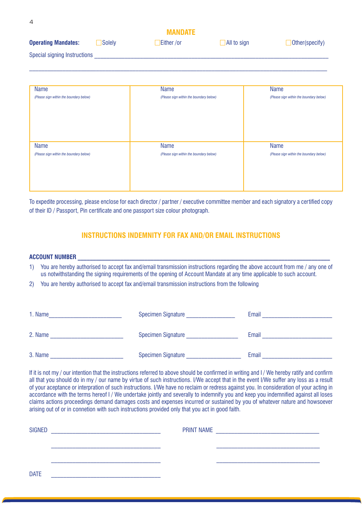|                              |        | <b>MANDATE</b>    |                    |                |
|------------------------------|--------|-------------------|--------------------|----------------|
| <b>Operating Mandates:</b>   | Solely | <b>Either</b> /or | $\Box$ All to sign | Other(specify) |
| Special signing Instructions |        |                   |                    |                |

 $\_$  , and the state of the state of the state of the state of the state of the state of the state of the state of the state of the state of the state of the state of the state of the state of the state of the state of the

| Name                                            | Name                                                   | <b>Name</b>                                            |
|-------------------------------------------------|--------------------------------------------------------|--------------------------------------------------------|
| (Please sign within the boundary below)         | (Please sign within the boundary below)                | (Please sign within the boundary below)                |
| Name<br>(Please sign within the boundary below) | <b>Name</b><br>(Please sign within the boundary below) | <b>Name</b><br>(Please sign within the boundary below) |

To expedite processing, please enclose for each director / partner / executive committee member and each signatory a certified copy of their ID / Passport, Pin certificate and one passport size colour photograph.

### **INSTRUCTIONS INDEMNITY FOR FAX AND/OR EMAIL INSTRUCTIONS**

### **ACCOUNT NUMBER \_\_\_\_\_\_\_\_\_\_\_\_\_\_\_\_\_\_\_\_\_\_\_\_\_\_\_\_\_\_\_\_\_\_\_\_\_\_\_\_\_\_\_\_\_\_\_\_\_\_\_\_\_\_\_\_\_\_\_\_\_\_\_\_\_\_\_\_\_\_\_\_\_\_\_\_\_\_\_\_\_\_\_**

4

1) You are hereby authorised to accept fax and/email transmission instructions regarding the above account from me / any one of us notwithstanding the signing requirements of the opening of Account Mandate at any time applicable to such account.

2) You are hereby authorised to accept fax and/email transmission instructions from the following

| 1. Name | <b>Specimen Signature</b> | Email |
|---------|---------------------------|-------|
| 2. Name | <b>Specimen Signature</b> | Email |
| 3. Name | Specimen Signature        | Email |

If it is not my / our intention that the instructions referred to above should be confirmed in writing and I / We hereby ratify and confirm all that you should do in my / our name by virtue of such instructions. I/We accept that in the event I/We suffer any loss as a result of your aceptance or interpration of such instructions. I/We have no reclaim or redress against you. In consideration of your acting in accordance with the terms hereof I / We undertake jointly and severally to indemnify you and keep you indemnified against all loses claims actions proceedings demand damages costs and expenses incurred or sustained by you of whatever nature and howsoever arising out of or in connetion with such instructions provided only that you act in good faith.

| <b>SIGNED</b> | <b>PRINT NAME</b> |
|---------------|-------------------|
|               |                   |
|               |                   |
| <b>DATE</b>   |                   |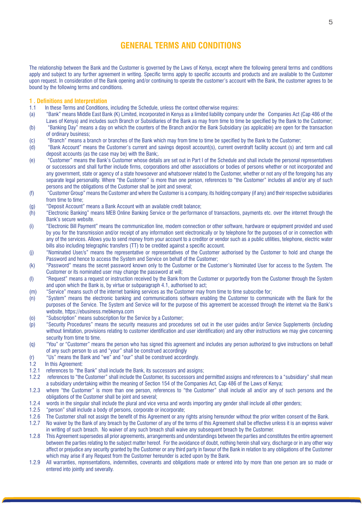### **General terms and conditions**

The relationship between the Bank and the Customer is governed by the Laws of Kenya, except where the following general terms and conditions apply and subject to any further agreement in writing. Specific terms apply to specific accounts and products and are available to the Customer upon request. In consideration of the Bank opening and/or continuing to operate the customer's account with the Bank, the customer agrees to be bound by the following terms and conditions.

### **1 . Definitions and Interpretation**

- 1.1 In these Terms and Conditions, including the Schedule, unless the context otherwise requires:
- (a) "Bank" means Middle East Bank (K) Limited, incorporated in Kenya as a limited liability company under the Companies Act (Cap 486 of the Laws of Kenya) and includes such Branch or Subsidiaries of the Bank as may from time to time be specified by the Bank to the Customer;
- (b) "Banking Day" means a day on which the counters of the Branch and/or the Bank Subsidiary (as applicable) are open for the transaction of ordinary business;
- (c) "Branch" means a branch or branches of the Bank which may from time to time be specified by the Bank to the Customer;
- (d) "Bank Account" means the Customer's current and savings deposit account(s), current overdraft facility account (s) and term and call deposit accounts (as the case may be) with the Bank;.
- (e) "Customer" means the Bank's Customer whose details are set out in Part I of the Schedule and shall include the personal representatives or successors and shall further include firms, corporations and other associations or bodies of persons whether or not incorporated and any government, state or agency of a state howsoever and whatsoever related to the Customer, whether or not any of the foregoing has any separate legal personality. Where "the Customer" is more than one person, references to "the Customer" includes all and/or any of such persons and the obligations of the Customer shall be joint and several;
- (f) "Customer Group" means the Customer and where the Customer is a company, its holding company (if any) and their respective subsidiaries from time to time:
- (g) "Deposit Account" means a Bank Account with an available credit balance;
- (h) "Electronic Banking" means MEB Online Banking Service or the performance of transactions, payments etc. over the internet through the Bank's secure website.
- (i) "Electronic Bill Payment" means the communication line, modem connection or other software, hardware or equipment provided and used by you for the transmission and/or receipt of any information sent electronically or by telephone for the purposes of or in connection with any of the services. Allows you to send money from your account to a creditor or vendor such as a public utilities, telephone, electric water bills also including telegraphic transfers (TT) to be credited against a specific account.
- (j) "Nominated User/s" means the representative or representatives of the Customer authorised by the Customer to hold and change the Password and hence to access the System and Service on behalf of the Customer;
- (k) "Password" means the secret password known only to the Customer or the Customer's Nominated User for access to the System. The Customer or its nominated user may change the password at will;
- (l) "Request" means a request or instruction received by the Bank from the Customer or purportedly from the Customer through the System and upon which the Bank is, by virtue or subparagraph 4.1, authorised to act;
- (m) "Service" means such of the internet banking services as the Customer may from time to time subscribe for;
- (n) "System" means the electronic banking and communications software enabling the Customer to communicate with the Bank for the purposes of the Service. The System and Service will for the purpose of this agreement be accessed through the internet via the Bank's website, https://ebusiness.mebkenya.com
- (o) "Subscription" means subscription for the Service by a Customer;
- (p) "Security Procedures" means the security measures and procedures set out in the user guides and/or Service Supplements (including without limitation, provisions relating to customer identification and user identification) and any other instructions we may give concerning security from time to time.
- (q) "You" or "Customer" means the person who has signed this agreement and includes any person authorized to give instructions on behalf of any such person to us and "your" shall be construed accordingly
- (r) "Us" means the Bank and "we" and "our" shall be construed accordingly.
- 1.2 In this Agreement:
- 1.2.1 references to "the Bank" shall include the Bank, its successors and assigns;
- 1.2.2 references to "the Customer" shall include the Customer, its successors and permitted assigns and references to a "subsidiary" shall mean a subsidiary undertaking within the meaning of Section 154 of the Companies Act, Cap 486 of the Laws of Kenya;
- 1.2.3 where "the Customer" is more than one person, references to "the Customer" shall include all and/or any of such persons and the obligations of the Customer shall be joint and several;
- 1.2.4 words in the singular shall include the plural and vice versa and words importing any gender shall include all other genders;
- 1.2.5 "person" shall include a body of persons, corporate or incorporate;
- 1.2.6 The Customer shall not assign the benefit of this Agreement or any rights arising hereunder without the prior written consent of the Bank.<br>1.2.7 No waiver by the Bank of any breach by the Customer of any of the terms
- No waiver by the Bank of any breach by the Customer of any of the terms of this Agreement shall be effective unless it is an express waiver in writing of such breach. No waiver of any such breach shall waive any subsequent breach by the Customer.
- 1.2.8 This Agreement supersedes all prior agreements, arrangements and understandings between the parties and constitutes the entire agreement between the parties relating to the subject matter hereof. For the avoidance of doubt, nothing herein shall vary, discharge or in any other way affect or prejudice any security granted by the Customer or any third party in favour of the Bank in relation to any obligations of the Customer which may arise if any Request from the Customer hereunder is acted upon by the Bank.
- 1.2.9 All warranties, representations, indemnities, covenants and obligations made or entered into by more than one person are so made or entered into jointly and severally.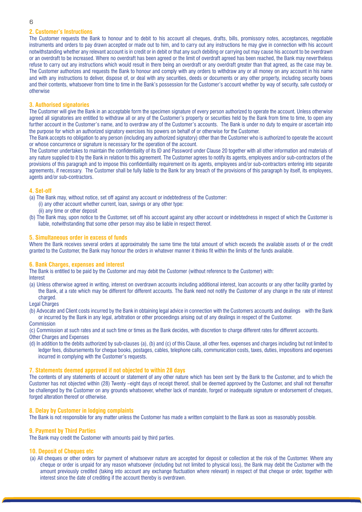### **2. Customer's Instructions**

The Customer requests the Bank to honour and to debit to his account all cheques, drafts, bills, promissory notes, acceptances, negotiable instruments and orders to pay drawn accepted or made out to him, and to carry out any instructions he may give in connection with his account notwithstanding whether any relevant account is in credit or in debit or that any such debiting or carrying out may cause his account to be overdrawn or an overdraft to be increased. Where no overdraft has been agreed or the limit of overdraft agreed has been reached, the Bank may nevertheless refuse to carry out any instructions which would result in there being an overdraft or any overdraft greater than that agreed, as the case may be. The Customer authorizes and requests the Bank to honour and comply with any orders to withdraw any or all money on any account in his name and with any instructions to deliver, dispose of, or deal with any securities, deeds or documents or any other property, including security boxes and their contents, whatsoever from time to time in the Bank's possession for the Customer's account whether by way of security, safe custody or otherwise

### **3. Authorised signatories**

The Customer will give the Bank in an acceptable form the specimen signature of every person authorized to operate the account. Unless otherwise agreed all signatories are entitled to withdraw all or any of the Customer's property or securities held by the Bank from time to time, to open any further account in the Customer's name, and to overdraw any of the Customer's accounts. The Bank is under no duty to enquire or ascertain into the purpose for which an authorized signatory exercises his powers on behalf of or otherwise for the Customer.

The Bank accepts no obligation to any person (including any authorized signatory) other than the Customer who is authorized to operate the account or whose concurrence or signature is necessary for the operation of the account.

The Customer undertakes to maintain the confidentiality of its ID and Password under Clause 20 together with all other information and materials of any nature supplied to it by the Bank in relation to this agreement. The Customer agrees to notify its agents, employees and/or sub-contractors of the provisions of this paragraph and to impose this confidentiality requirement on its agents, employees and/or sub-contractors entering into separate agreements, if necessary. The Customer shall be fully liable to the Bank for any breach of the provisions of this paragraph by itself, its employees, agents and/or sub-contractors.

#### **4. Set-off**

- (a) The Bank may, without notice, set off against any account or indebtedness of the Customer:
	- (i) any other account whether current, loan, savings or any other type:
	- (ii) any time or other deposit
- (b) The Bank may, upon notice to the Customer, set off his account against any other account or indebtedness in respect of which the Customer is liable, notwithstanding that some other person may also be liable in respect thereof.

### **5. Simultaneous order in excess of funds**

Where the Bank receives several orders at approximately the same time the total amount of which exceeds the available assets of or the credit granted to the Customer, the Bank may honour the orders in whatever manner it thinks fit within the limits of the funds available.

### **6. Bank Charges, expenses and interest**

The Bank is entitled to be paid by the Customer and may debit the Customer (without reference to the Customer) with: Interest

- (a) Unless otherwise agreed in writing, interest on overdrawn accounts including additional interest, loan accounts or any other facility granted by the Bank, at a rate which may be different for different accounts. The Bank need not notify the Customer of any change in the rate of interest charged.
- Legal Charges

(b) Advocate and Client costs incurred by the Bank in obtaining legal advice in connection with the Customers accounts and dealings with the Bank or incurred by the Bank in any legal, arbitration or other proceedings arising out of any dealings in respect of the Customer.

Commission

(c) Commission at such rates and at such time or times as the Bank decides, with discretion to charge different rates for different accounts. **Other Charges and Expenses** 

(d) In addition to the debits authorized by sub-clauses (a), (b) and (c) of this Clause, all other fees, expenses and charges including but not limited to ledger fees, disbursements for cheque books, postages, cables, telephone calls, communication costs, taxes, duties, impositions and expenses incurred in complying with the Customer's requests.

### **7. Statements deemed approved if not objected to within 28 days**

The contents of any statements of account or statement of any other nature which has been sent by the Bank to the Customer, and to which the Customer has not objected within (28) Twenty –eight days of receipt thereof, shall be deemed approved by the Customer, and shall not thereafter be challenged by the Customer on any grounds whatsoever, whether lack of mandate, forged or inadequate signature or endorsement of cheques, forged alteration thereof or otherwise.

### **8. Delay by Customer in lodging complaints**

The Bank is not responsible for any matter unless the Customer has made a written complaint to the Bank as soon as reasonably possible.

### **9. Payment by Third Parties**

The Bank may credit the Customer with amounts paid by third parties.

### **10. Deposit of Cheques etc**

(a) All cheques or other orders for payment of whatsoever nature are accepted for deposit or collection at the risk of the Customer. Where any cheque or order is unpaid for any reason whatsoever (including but not limited to physical loss), the Bank may debit the Customer with the amount previously credited (taking into account any exchange fluctuation where relevant) in respect of that cheque or order, together with interest since the date of crediting if the account thereby is overdrawn.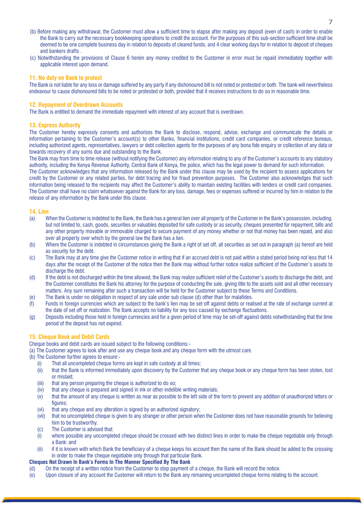- (b) Before making any withdrawal, the Customer must allow a sufficient time to elapse after making any deposit (even of cash) in order to enable the Bank to carry out the necessary bookkeeping operations to credit the account. For the purposes of this sub-section sufficient time shall be deemed to be one complete business day in relation to deposits of cleared funds, and 4 clear working days for in relation to deposit of cheques and bankers drafts .
- (c) Notwithstanding the provisions of Clause 6 herein any money credited to the Customer in error must be repaid immediately together with applicable interest upon demand.

### **11. No duty on Bank to protest**

The Bank is not liable for any loss or damage suffered by any party if any dishonoured bill is not noted or protested or both. The bank will nevertheless endeavour to cause dishonoured bills to be noted or protested or both, provided that it receives instructions to do so in reasonable time.

### **12. Repayment of Overdrawn Accounts**

The Bank is entitled to demand the immediate repayment with interest of any account that is overdrawn.

#### **13. Express Authority**

The Customer hereby expressly consents and authorizes the Bank to disclose, respond, advise, exchange and communicate the details or information pertaining to the Customer's account(s) to other Banks, financial institutions, credit card companies, or credit reference bureaus, including authorized agents, representatives, lawyers or debt collection agents for the purposes of any bona fide enquiry or collection of any data or towards recovery of any sums due and outstanding to the Bank.

The Bank may from time to time release (without notifying the Customer) any information relating to any of the Customer's accounts to any statutory authority, including the Kenya Revenue Authority, Central Bank of Kenya, the police, which has the legal power to demand for such information.

The Customer acknowledges that any information released by the Bank under this clause may be used by the recipient to assess applications for credit by the Customer or any related parties, for debt tracing and for fraud prevention purposes. The Customer also acknowledges that such information being released to the recipients may affect the Customer's ability to maintain existing facilities with lenders or credit card companies. The Customer shall have no claim whatsoever against the Bank for any loss, damage, fees or expenses suffered or incurred by him in relation to the release of any information by the Bank under this clause.

### **14. Lien**

- (a) When the Customer is indebted to the Bank, the Bank has a general lien over all property of the Customer in the Bank's possession, including, but not limited to, cash, goods, securities or valuables deposited for safe custody or as security, cheques presented for repayment, bills and any other property movable or immovable charged to secure payment of any money whether or not that money has been repaid, and also over all property over which by the general law the Bank has a lien.
- (b) Where the Customer is indebted in circumstances giving the Bank a right of set off, all securities as set out in paragraph (a) hereof are held as security for the debt.
- (c) The Bank may at any time give the Customer notice in writing that if an accrued debt is not paid within a stated period being not less that 14 days after the receipt of the Customer of the notice then the Bank may without further notice realize sufficient of the Customer's assets to discharge the debt.
- (d) If the debt is not discharged within the time allowed, the Bank may realize sufficient relief of the Customer's assets to discharge the debt, and the Customer constitutes the Bank his attorney for the purpose of conducting the sale, giving title to the assets sold and all other necessary matters. Any sum remaining after such a transaction will be held for the Customer subject to these Terms and Conditions.
- (e) The Bank is under no obligation in respect of any sale under sub clause (d) other than for malafides.
- (f) Funds in foreign currencies which are subject to the bank's lien may be set off against debts or realised at the rate of exchange current at the date of set off or realization. The Bank accepts no liability for any loss caused by exchange fluctuations.
- (g) Deposits including those held in foreign currencies and for a given period of time may be set-off against debts notwithstanding that the time period of the deposit has not expired.

### **15. Cheque Book and Debit Cards**

Cheque books and debit cards are issued subject to the following conditions:-

(a) The Customer agrees to look after and use any cheque book and any cheque form with the utmost care.

- (b) The Customer further agrees to ensure:-
	- (i) That all uncompleted cheque forms are kept in safe custody at all times;
	- (ii) that the Bank is informed immediately upon discovery by the Customer that any cheque book or any cheque form has been stolen, lost or mislaid;
	- (iii) that any person preparing the cheque is authorized to do so;
	- $(iv)$  that any cheque is prepared and signed in ink or other indelible writing materials;
	- (v) that the amount of any cheque is written as near as possible to the left side of the form to prevent any addition of unauthorized letters or figures;
	- (vi) that any cheque and any alteration is signed by an authorized signatory;
	- (vii) that no uncompleted cheque is given to any stranger or other person when the Customer does not have reasonable grounds for believing him to be trustworthy.
	- (c) The Customer is advised that:
	- (i) where possible any uncompleted cheque should be crossed with two distinct lines in order to make the cheque negotiable only through a Bank: and
	- (ii) if it is known with which Bank the beneficiary of a cheque keeps his account then the name of the Bank should be added to the crossing in order to make the cheque negotiable only through that particular Bank.

#### **Cheques Not Drawn In Bank's Forms In The Manner Specified By The Bank**

- (d) On the receipt of a written notice from the Customer to stop payment of a cheque, the Bank will record the notice.
- (e) Upon closure of any account the Customer will return to the Bank any remaining uncompleted cheque forms relating to the account.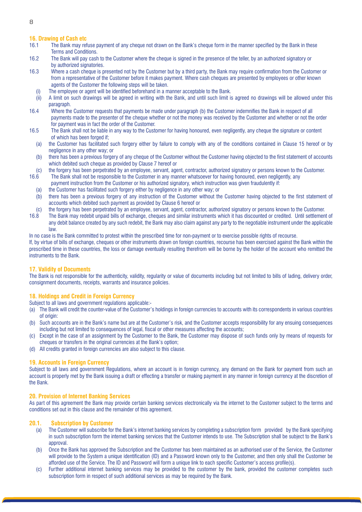### **16. Drawing of Cash etc**

- 16.1 The Bank may refuse payment of any cheque not drawn on the Bank's cheque form in the manner specified by the Bank in these Terms and Conditions.
- 16.2 The Bank will pay cash to the Customer where the cheque is signed in the presence of the teller, by an authorized signatory or by authorized signatories.
- 16.3 Where a cash cheque is presented not by the Customer but by a third party, the Bank may require confirmation from the Customer or from a representative of the Customer before it makes payment. Where cash cheques are presented by employees or other known agents of the Customer the following steps will be taken.
	- (i) The employee or agent will be identified beforehand in a manner acceptable to the Bank.
- (ii) A limit on such drawings will be agreed in writing with the Bank, and until such limit is agreed no drawings will be allowed under this paragraph.
- 16.4 Where the Customer requests that payments be made under paragraph (b) the Customer indemnifies the Bank in respect of all payments made to the presenter of the cheque whether or not the money was received by the Customer and whether or not the order for payment was in fact the order of the Customer.
- 16.5 The Bank shall not be liable in any way to the Customer for having honoured, even negligently, any cheque the signature or content of which has been forged if;
	- (a) the Customer has facilitated such forgery either by failure to comply with any of the conditions contained in Clause 15 hereof or by negligence in any other way; or
	- (b) there has been a previous forgery of any cheque of the Customer without the Customer having objected to the first statement of accounts which debited such cheque as provided by Clause 7 hereof or
- (c) the forgery has been perpetrated by an employee, servant, agent, contractor, authorized signatory or persons known to the Customer.
- 16.6 The Bank shall not be responsible to the Customer in any manner whatsoever for having honoured, even negligently, any payment instruction from the Customer or his authorized signatory, which instruction was given fraudulently if:
	- (a) the Customer has facilitated such forgery either by negligence in any other way; or
	- (b) there has been a previous forgery of any instruction of the Customer without the Customer having objected to the first statement of accounts which debited such payment as provided by Clause 6 hereof or
- (c) the forgery has been perpetrated by an employee, servant, agent, contractor, authorized signatory or persons known to the Customer.<br>16.8 The Bank may redebit unpaid bills of exchange, cheques and similar instruments wh
- 16.8 The Bank may redebit unpaid bills of exchange, cheques and similar instruments which it has discounted or credited. Until settlement of any debit balance created by any such redebit, the Bank may also claim against any party to the negotiable instrument under the applicable law.

In no case is the Bank committed to protest within the prescribed time for non-payment or to exercise possible rights of recourse.

If, by virtue of bills of exchange, cheques or other instruments drawn on foreign countries, recourse has been exercised against the Bank within the prescribed time in these countries, the loss or damage eventually resulting therefrom will be borne by the holder of the account who remitted the instruments to the Bank.

### **17. Validity of Documents**

The Bank is not responsible for the authenticity, validity, regularity or value of documents including but not limited to bills of lading, delivery order, consignment documents, receipts, warrants and insurance policies.

### **18. Holdings and Credit in Foreign Currency**

Subject to all laws and government regulations applicable:-

- (a) The Bank will credit the counter-value of the Customer's holdings in foreign currencies to accounts with its correspondents in various countries of origin:
- (b) Such accounts are in the Bank's name but are at the Customer's risk, and the Customer accepts responsibility for any ensuing consequences including but not limited to consequences of legal, fiscal or other measures affecting the accounts;
- (c) Except in the case of an assignment by the Customer to the Bank, the Customer may dispose of such funds only by means of requests for cheques or transfers in the original currencies at the Bank's option;
- (d) All credits granted in foreign currencies are also subject to this clause.

### **19. Accounts in Foreign Currency**

Subject to all laws and government Regulations, where an account is in foreign currency, any demand on the Bank for payment from such an account is properly met by the Bank issuing a draft or effecting a transfer or making payment in any manner in foreign currency at the discretion of the Bank.

### **20. Provision of Internet Banking Services**

As part of this agreement the Bank may provide certain banking services electronically via the internet to the Customer subject to the terms and conditions set out in this clause and the remainder of this agreement.

### **20.1. Subscription by Customer**

- (a) The Customer will subscribe for the Bank's internet banking services by completing a subscription form provided by the Bank specifying in such subscription form the internet banking services that the Customer intends to use. The Subscription shall be subject to the Bank's approval.
- (b) Once the Bank has approved the Subscription and the Customer has been maintained as an authorised user of the Service, the Customer will provide to the System a unique identification (ID) and a Password known only to the Customer, and then only shall the Customer be afforded use of the Service. The ID and Password will form a unique link to each specific Customer's access profile(s).
- (c) Further additional internet banking services may be provided to the customer by the bank, provided the customer completes such subscription form in respect of such additional services as may be required by the Bank.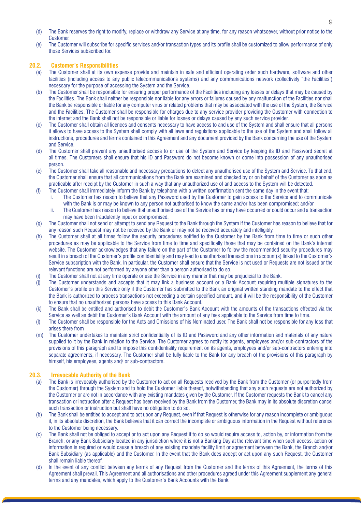- (d) The Bank reserves the right to modify, replace or withdraw any Service at any time, for any reason whatsoever, without prior notice to the Customer.
- (e) The Customer will subscribe for specific services and/or transaction types and its profile shall be customized to allow performance of only those Services subscribed for.

### **20.2. Customer's Responsibilities**

- (a) The Customer shall at its own expense provide and maintain in safe and efficient operating order such hardware, software and other facilities (including access to any public telecommunications systems) and any communications network (collectively "the Facilities') necessary for the purpose of accessing the System and the Service.
- (b) The Customer shall be responsible for ensuring proper performance of the Facilities including any losses or delays that may be caused by the Facilities. The Bank shall neither be responsible nor liable for any errors or failures caused by any malfunction of the Facilities nor shall the Bank be responsible or liable for any computer virus or related problems that may be associated with the use of the System, the Service and the Facilities. The Customer shall be responsible for charges due to any service provider providing the Customer with connection to the internet and the Bank shall not be responsible or liable for losses or delays caused by any such service provider.
- (c) The Customer shall obtain all licences and consents necessary to have access to and use of the System and shall ensure that all persons it allows to have access to the System shall comply with all laws and regulations applicable to the use of the System and shall follow all instructions, procedures and terms contained in this Agreement and any document provided by the Bank concerning the use of the System and Service.
- (d) The Customer shall prevent any unauthorised access to or use of the System and Service by keeping its ID and Password secret at all times. The Customers shall ensure that his ID and Password do not become known or come into possession of any unauthorised person.
- (e) The Customer shall take all reasonable and necessary precautions to detect any unauthorised use of the System and Service. To that end, the Customer shall ensure that all communications from the Bank are examined and checked by or on behalf of the Customer as soon as practicable after receipt by the Customer in such a way that any unauthorized use of and access to the System will be detected.
- (f) The Customer shall immediately inform the Bank by telephone with a written confirmation sent the same day in the event that:
	- i. The Customer has reason to believe that any Password used by the Customer to gain access to the Service and to communicate with the Bank is or may be known to any person not authorised to know the same and/or has been compromised; and/or
	- ii. The Customer has reason to believe that unauthorised use of the Service has or may have occurred or could occur and a transaction may have been fraudulently input or compromised.
- (g) The Customer shall not send or attempt to send any Request to the Bank through the System if the Customer has reason to believe that for any reason such Request may not be received by the Bank or may not be received accurately and intelligibly.
- (h) The Customer shall at all times follow the security procedures notified to the Customer by the Bank from time to time or such other procedures as may be applicable to the Service from time to time and specifically those that may be contained on the Bank's internet website. The Customer acknowledges that any failure on the part of the Customer to follow the recommended security procedures may result in a breach of the Customer's profile confidentiality and may lead to unauthorised transactions in account(s) linked to the Customer's Service subscription with the Bank. In particular, the Customer shall ensure that the Service is not used or Requests are not issued or the relevant functions are not performed by anyone other than a person authorised to do so.
- (i) The Customer shall not at any time operate or use the Service in any manner that may be prejudicial to the Bank.
- (j) The Customer understands and accepts that it may link a business account or a Bank Account requiring multiple signatures to the Customer's profile on this Service only if the Customer has submitted to the Bank an original written standing mandate to the effect that the Bank is authorized to process transactions not exceeding a certain specified amount, and it will be the responsibility of the Customer to ensure that no unauthorized persons have access to this Bank Account.
- (k) The Bank shall be entitled and authorised to debit the Customer's Bank Account with the amounts of the transactions effected via the Service as well as debit the Customer's Bank Account with the amount of any fees applicable to the Service from time to time.
- (l) The Customer shall be responsible for the Acts and Omissions of his Nominated user. The Bank shall not be responsible for any loss that arises there from
- (m) The Customer undertakes to maintain strict confidentiality of its ID and Password and any other information and materials of any nature supplied to it by the Bank in relation to the Service. The Customer agrees to notify its agents, employees and/or sub-contractors of the provisions of this paragraph and to impose this confidentiality requirement on its agents, employees and/or sub-contractors entering into separate agreements, if necessary. The Customer shall be fully liable to the Bank for any breach of the provisions of this paragraph by himself, his employees, agents and/ or sub-contractors.

### **20.3. Irrevocable Authority of the Bank**

- (a) The Bank is irrevocably authorised by the Customer to act on all Requests received by the Bank from the Customer (or purportedly from the Customer) through the System and to hold the Customer liable thereof, notwithstanding that any such requests are not authorized by the Customer or are not in accordance with any existing mandates given by the Customer. If the Customer requests the Bank to cancel any transaction or instruction after a Request has been received by the Bank from the Customer, the Bank may in its absolute discretion cancel such transaction or instruction but shall have no obligation to do so.
- (b) The Bank shall be entitled to accept and to act upon any Request, even if that Request is otherwise for any reason incomplete or ambiguous if, in its absolute discretion, the Bank believes that it can correct the incomplete or ambiguous information in the Request without reference to the Customer being necessary.
- (c) The Bank shall not be obliged to accept or to act upon any Request if to do so would require access to, action by, or information from the Branch, or any Bank Subsidiary located in any jurisdiction where it is not a Banking Day at the relevant time when such access, action or information is required or would cause a breach of any existing mandate facility limit or agreement between the Bank, the Branch and/or Bank Subsidiary (as applicable) and the Customer. In the event that the Bank does accept or act upon any such Request, the Customer shall remain liable thereof.
- (d) In the event of any conflict between any terms of any Request from the Customer and the terms of this Agreement, the terms of this Agreement shall prevail. This Agreement and all authorisations and other procedures agreed under this Agreement supplement any general terms and any mandates, which apply to the Customer's Bank Accounts with the Bank.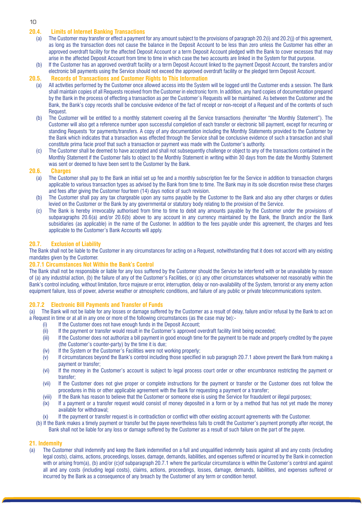### **20.4. Limits of Internet Banking Transactions**

- (a) The Customer may transfer or effect a payment for any amount subject to the provisions of paragraph 20.2(i) and 20.2(j) of this agreement, as long as the transaction does not cause the balance in the Deposit Account to be less than zero unless the Customer has either an approved overdraft facility for the affected Deposit Account or a term Deposit Account pledged with the Bank to cover excesses that may arise in the affected Deposit Account from time to time in which case the two accounts are linked in the System for that purpose.
- (b) If the Customer has an approved overdraft facility or a term Deposit Account linked to the payment Deposit Account, the transfers and/or electronic bill payments using the Service should not exceed the approved overdraft facility or the pledged term Deposit Account.

## **20.5. Records of Transactions and Customer Rights to This Information**

- All activities performed by the Customer once allowed access into the System will be logged until the Customer ends a session. The Bank shall maintain copies of all Requests received from the Customer in electronic form. In addition, any hard copies of documentation prepared by the Bank in the process of effecting a transaction as per the Customer's Requests will be maintained. As between the Customer and the Bank, the Bank's copy records shall be conclusive evidence of the fact of receipt or non-receipt of a Request and of the contents of such **Request**
- (b) The Customer will be entitled to a monthly statement covering all the Service transactions (hereinafter "the Monthly Statement"). The Customer will also get a reference number upon successful completion of each transfer or electronic bill payment, except for recurring or standing Requests 'for payments/transfers. A copy of any documentation including the Monthly Statements provided to the Customer by the Bank which indicates that a transaction was effected through the Service shall be conclusive evidence of such a transaction and shall constitute prima facie proof that such a transaction or payment was made with the Customer's authority.
- (c) The Customer shall be deemed to have accepted and shall not subsequently challenge or object to any of the transactions contained in the Monthly Statement if the Customer fails to object to the Monthly Statement in writing within 30 days from the date the Monthly Statement was sent or deemed to have been sent to the Customer by the Bank.

### **20.6. Charges**

- (a) The Customer shall pay to the Bank an initial set up fee and a monthly subscription fee for the Service in addition to transaction charges applicable to various transaction types as advised by the Bank from time to time. The Bank may in its sole discretion revise these charges and fees after giving the Customer fourteen (14) days notice of such revision.
- (b) The Customer shall pay any tax chargeable upon any sums payable by the Customer to the Bank and also any other charges or duties levied on the Customer or the Bank by any governmental or statutory body relating to the provision of the Service.
- (c) The Bank is hereby irrevocably authorised from time to time to debit any amounts payable by the Customer under the provisions of subparagraphs 20.6(a) and/or 20.6(b) above to any account in any currency maintained by the Bank, the Branch and/or the Bank subsidiaries (as applicable) in the name of the Customer. In addition to the fees payable under this agreement, the charges and fees applicable to the Customer's Bank Accounts will apply.

### **20.7. Exclusion of Liability**

The Bank shall not be liable to the Customer in any circumstances for acting on a Request, notwithstanding that it does not accord with any existing mandates given by the Customer.

### **20.7.1 Circumstances Not Within the Bank's Control**

The Bank shall not be responsible or liable for any loss suffered by the Customer should the Service be interfered with or be unavailable by reason of (a) any industrial action, (b) the failure of any of the Customer's Facilities, or (c) any other circumstances whatsoever not reasonably within the Bank's control including, without limitation, force majeure or error, interruption, delay or non-availability of the System, terrorist or any enemy action equipment failure, loss of power, adverse weather or atmospheric conditions, and failure of any public or private telecommunications system.

### **20.7.2 Electronic Bill Payments and Transfer of Funds**

(a) The Bank will not be liable for any losses or damage suffered by the Customer as a result of delay, failure and/or refusal by the Bank to act on a Request in time or at all in any one or more of the following circumstances (as the case may be):-

- (i) If the Customer does not have enough funds in the Deposit Account;
- (ii) If the payment or transfer would result in the Customer's approved overdraft facility limit being exceeded;
- (iii) If the Customer does not authorize a bill payment in good enough time for the payment to be made and properly credited by the payee (the Customer's counter-party) by the time it is due;
- (iv) If the System or the Customer's Facilities were not working properly;
- (v) If circumstances beyond the Bank's control including those specified in sub paragraph 20.7.1 above prevent the Bank from making a payment or transfer;
- (vi) If the money in the Customer's account is subject to legal process court order or other encumbrance restricting the payment or transfer;
- (vii) If the Customer does not give proper or complete instructions for the payment or transfer or the Customer does not follow the procedures in this or other applicable agreement with the Bank for requesting a payment or a transfer;
- (viii) If the Bank has reason to believe that the Customer or someone else is using the Service for fraudulent or illegal purposes;
- (ix) If a payment or a transfer request would consist of money deposited in a form or by a method that has not yet made the money available for withdrawal;
- (x) If the payment or transfer request is in contradiction or conflict with other existing account agreements with the Customer.
- (b) If the Bank makes a timely payment or transfer but the payee nevertheless fails to credit the Customer's payment promptly after receipt, the Bank shall not be liable for any loss or damage suffered by the Customer as a result of such failure on the part of the payee.

### **21. Indemnity**

(a) The Customer shall indemnify and keep the Bank indemnified on a full and unqualified indemnity basis against all and any costs (including legal costs), claims, actions, proceedings, losses, damage, demands, liabilities, and expenses suffered or incurred by the Bank in connection with or arising from(a), (b) and/or (c)of subparagraph 20.7.1 where the particular circumstance is within the Customer's control and against all and any costs (including legal costs), claims, actions, proceedings, losses, damage, demands, liabilities, and expenses suffered or incurred by the Bank as a consequence of any breach by the Customer of any term or condition hereof.

### 10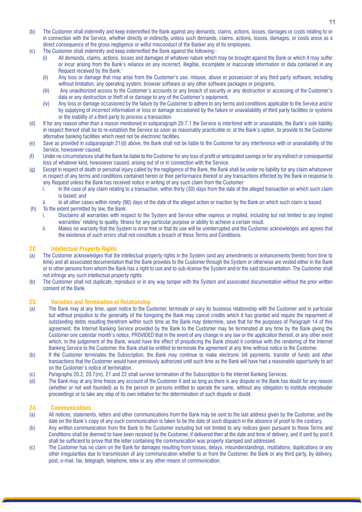11

- (b) The Customer shall indemnify and keep indemnified the Bank against any demands, claims, actions, losses, damages or costs relating to or in connection with the Service, whether directly or indirectly, unless such demands, claims, actions, losses, damages, or costs arose as a direct consequence of the gross negligence or wilful misconduct of the Banker any of its employees.
- (c) The Customer shall indemnify and keep indemnified the Bank against the following:-
	- All demands, claims, actions, losses and damages of whatever nature which may be brought against the Bank or which it may suffer or incur arising from the Bank's reliance on any incorrect, illegible, incomplete or inaccurate information or data contained in any Request received by the Bank.'
	- (ii) Any loss or damage that may arise from the Customer's use, misuse, abuse or possession of any third party software, including without limitation, any operating system, browser software or any other software packages or programs,
	- (iii) Any unauthorized access to the Customer's accounts or any breach of security or any destruction or accessing of the Customer's data or any destruction or theft of or damage to any of the Customer's equipment,
	- (iv) Any loss or damage occasioned by the failure by the Customer to adhere to any terms and conditions applicable to the Service and/or by supplying of incorrect information or loss or damage occasioned by the failure or unavailability of third party facilities or systems or the inability of a third party to process a transaction.
- (d) If for any reason other than a reason mentioned in subparagraph 20.7.1 the Service is interfered with or unavailable, the Bank's sole liability in respect thereof shall be to re-establish the Service as soon as reasonably practicable or, at the Bank's option, to provide to the Customer alternative banking facilities which need not be electronic facilities.
- (e) Save as provided in subparagraph 21(d) above, the Bank shall not be liable to the Customer for any interference with or unavailability of the Service, howsoever caused.
- (f) Under no circumstances shall the Bank be liable to the Customer for any loss of profit or anticipated savings or for any indirect or consequential loss of whatever kind, howsoever caused, arising out of or in connection with the Service.
- (g) Except in respect of death or personal injury called by the negligence of the Bank, the Bank shall be under no liability for any claim whatsoever in respect of any terms and conditions contained herein or their performance thereof or any transactions effected by the Bank in response to any Request unless the Bank has received notice in writing of any such claim from the Customer:
	- i. In the case of any claim relating to a transaction, within thirty (30) days from the date of the alleged transaction on which such claim is based; and
	- ii. In all other cases within ninety (90) days of the date of the alleged action or inaction by the Bank on which such claim is based.
- (h) To the extent permitted by law, the Bank:
	- i. Disclaims all warranties with respect to the System and Service either express or implied, including but not limited to any implied warranties' relating to quality, fitness for any particular purpose or ability to achieve a certain result.
	- ii. Makes no warranty that the System is error free or that its use will be uninterrupted and the Customer acknowledges and agrees that the existence of such errors shall not constitute a breach of these Terms and Conditions.

### **22. Intellectual Property Rights**

- (a) The Customer acknowledges that the intellectual property rights in the System (and any amendments or enhancements thereto from time to time) and all associated documentation that the Bank provides to the Customer through the System or otherwise are vested either in the Bank or in other persons from whom the Bank has a right to use and to sub-license the System and/or the said documentation. The Customer shall not infringe any such intellectual property rights.
- (b) The Customer shall not duplicate, reproduce or in any way tamper with the System and associated documentation without the prior written consent of the Bank.

### **23. Variation and Termination of Relationship**

- (a) The Bank may at any time, upon notice to the Customer, terminate or vary its business relationship with the Customer and in particular but without prejudice to the generality of the foregoing the Bank may cancel credits which it has granted and require the repayment of outstanding debts resulting therefrom within such time as the Bank may determine, save that for the purposes of Paragraph 14 of this agreement, the Internet Banking Service provided by the Bank to the Customer may be terminated at any time by the Bank giving the Customer one calendar month's notice, PROVIDED that in the event of any change in any law or the application thereof, or any other event which, in the judgement of the Bank, would have the effect of prejudicing the Bank should it continue with the rendering of the Internet Banking Service to the Customer, the Bank shall be entitled to terminate the agreement at any time without notice to the Customer.
- (b) If the Customer terminates the Subscription, the Bank may continue to make electronic bill payments, transfer of funds and other transactions that the Customer would have previously authorized until such time as the Bank will have had a reasonable opportunity to act on the Customer's notice of termination.
- (c) Paragraphs 20.2, 20.7(m), 21 and 22 shall survive termination of the Subscription to the Internet Banking Services.
- (d) The Bank may at any time freeze any account of the Customer if and so long as there is any dispute or the Bank has doubt for any reason (whether or not well founded) as to the person or persons entitled to operate the same, without any obligation to institute interpleader proceedings or to take any step of its own initiative for the determination of such dispute or doubt.

### **24. Communications**

- (a) All notices, statements, letters and other communications from the Bank may be sent to the last address given by the Customer, and the date on the Bank's copy of any such communication is taken to be the date of such dispatch in the absence of proof to the contrary.
- (b) Any written communication from the Bank to the Customer including but not limited to any notices given pursuant to these Terms and Conditions shall be deemed to have been received by the Customer, if delivered then at the date and time of delivery, and if sent by post it shall be sufficient to prove that the letter containing the communication was properly stamped and addressed.
- (c) The Customer has no claim on the Bank for damages resulting from losses, delays, misunderstandings, mutilations, duplications or any other irregularities due to transmission of any communication whether to or from the Customer, the Bank or any third party, by delivery, post, e-mail, fax, telegraph, telephone, telex or any other means of communication.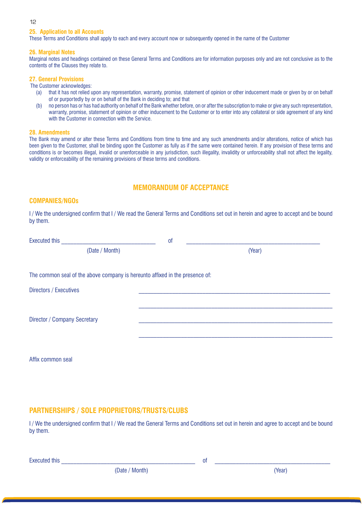### **25. Application to all Accounts**

These Terms and Conditions shall apply to each and every account now or subsequently opened in the name of the Customer

### **26. Marginal Notes**

Marginal notes and headings contained on these General Terms and Conditions are for information purposes only and are not conclusive as to the contents of the Clauses they relate to.

### **27. General Provisions**

The Customer acknowledges:

- (a) that it has not relied upon any representation, warranty, promise, statement of opinion or other inducement made or given by or on behalf of or purportedly by or on behalf of the Bank in deciding to; and that
- (b) no person has or has had authority on behalf of the Bank whether before, on or after the subscription to make or give any such representation, warranty, promise, statement of opinion or other inducement to the Customer or to enter into any collateral or side agreement of any kind with the Customer in connection with the Service.

### **28. Amendments**

The Bank may amend or alter these Terms and Conditions from time to time and any such amendments and/or alterations, notice of which has been given to the Customer, shall be binding upon the Customer as fully as if the same were contained herein. If any provision of these terms and conditions is or becomes illegal, invalid or unenforceable in any jurisdiction, such illegality, invalidity or unforceability shall not affect the legality, validity or enforceability of the remaining provisions of these terms and conditions.

### **MEMORANDUM OF ACCEPTANCE**

### **COMPANIES/NGOs**

I / We the undersigned confirm that I / We read the General Terms and Conditions set out in herein and agree to accept and be bound by them.

| <b>Executed this</b>                                                         | <sub>of</sub> |        |
|------------------------------------------------------------------------------|---------------|--------|
| (Date / Month)                                                               |               | (Year) |
| The common seal of the above company is hereunto affixed in the presence of: |               |        |
| Directors / Executives                                                       |               |        |
| Director / Company Secretary                                                 |               |        |
|                                                                              |               |        |

Affix common seal

### **PARTNERSHIPS / SOLE PROPRIETORS/TRUSTS/CLUBS**

I / We the undersigned confirm that I / We read the General Terms and Conditions set out in herein and agree to accept and be bound by them.

Executed this **Executed this**  $\sim$ 

(Date / Month) (Year)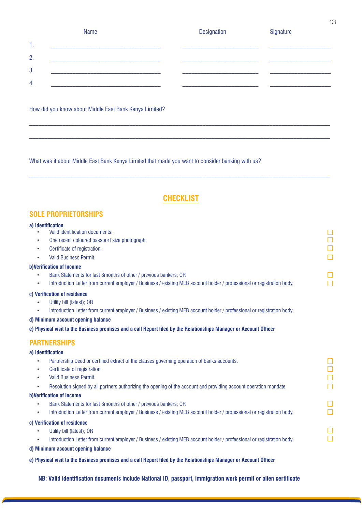|         | Name | <b>Designation</b> | Signature |
|---------|------|--------------------|-----------|
| 1.<br>. |      |                    |           |
| 2.      |      |                    |           |
| 3.      |      |                    |           |
| 4.      |      |                    |           |

 $\_$  , and the state of the state of the state of the state of the state of the state of the state of the state of the state of the state of the state of the state of the state of the state of the state of the state of the

 $\_$  , and the state of the state of the state of the state of the state of the state of the state of the state of the state of the state of the state of the state of the state of the state of the state of the state of the

How did you know about Middle East Bank Kenya Limited?

What was it about Middle East Bank Kenya Limited that made you want to consider banking with us?

### **CHECKLIST**

 $\_$  , and the state of the state of the state of the state of the state of the state of the state of the state of the state of the state of the state of the state of the state of the state of the state of the state of the

### **SOLE PROPRIETORSHIPS**

#### **a) Identification**

- Valid identification documents.
- • One recent coloured passport size photograph.
- Certificate of registration.
- **Valid Business Permit.**

### **b)Verification of Income**

- • Bank Statements for last 3months of other / previous bankers; OR
- Introduction Letter from current employer / Business / existing MEB account holder / professional or registration body.

### **c) Verification of residence**

- • Utility bill (latest); OR
- Introduction Letter from current employer / Business / existing MEB account holder / professional or registration body.

#### **d) Minimum account opening balance**

**e) Physical visit to the Business premises and a call Report filed by the Relationships Manager or Account Officer**

### **PARTNERSHIPS**

#### **a) Identification**

- Partnership Deed or certified extract of the clauses governing operation of banks accounts.
- Certificate of registration.
- • Valid Business Permit.
- Resolution signed by all partners authorizing the opening of the account and providing account operation mandate.

#### **b)Verification of Income**

- • Bank Statements for last 3months of other / previous bankers; OR
- Introduction Letter from current employer / Business / existing MEB account holder / professional or registration body.

### **c) Verification of residence**

- • Utility bill (latest); OR
	- Introduction Letter from current employer / Business / existing MEB account holder / professional or registration body.

### **d) Minimum account opening balance**

**e) Physical visit to the Business premises and a call Report filed by the Relationships Manager or Account Officer**

**NB: Valid identification documents include National ID, passport, immigration work permit or alien certificate**

 $\Box$ 

 $\Box$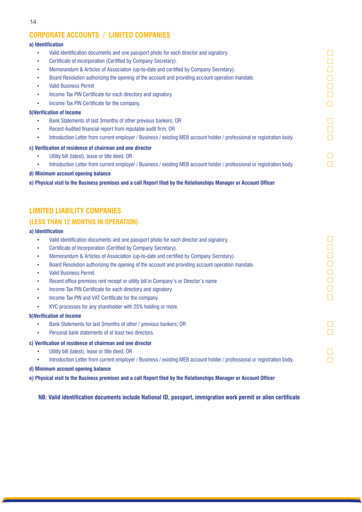### **CORPORATE ACCOUNTS / LIMITED COMPANIES**

### **a) Identification**

- • Valid identification documents and one passport photo for each director and signatory.
- Certificate of incorporation (Certified by Company Secretary).
- Memorandum & Articles of Association (up-to-date and certified by Company Secretary).
- Board Resolution authorizing the opening of the account and providing account operation mandate.
- **Valid Business Permit**
- Income Tax PIN Certificate for each directory and signatory.
- Income Tax PIN Certificate for the company.

### **b)Verification of Income**

- • Bank Statements of last 3months of other previous bankers; OR
- Recent Audited financial report from reputable audit firm; OR
- Introduction Letter from current employer / Business / existing MEB account holder / professional or registration body.

### **c) Verification of residence of chairman and one director**

- Utility bill (latest), lease or title deed; OR
- Introduction Letter from current employer / Business / existing MEB account holder / professional or registration body.

### **d) Minimum account opening balance**

**e) Physical visit to the Business premises and a call Report filed by the Relationships Manager or Account Officer**

### **LIMITED LIABILITY COMPANIES**

### **(LESS THAN 12 MONTHS IN OPERATION)**

### **a) Identification**

- Valid identification documents and one passport photo for each director and signatory.
- Certificate of Incorporation (Certified by Company Secretary).
- Memorandum & Articles of Association (up-to-date and certified by Company Secretary).
- Board Resolution authorizing the opening of the account and providing account operation mandate.
- **Valid Business Permit.**
- Recent office premises rent receipt or utility bill in Company's or Director's name
- Income Tax PIN Certificate for each directory and signatory.
- Income Tax PIN and VAT Certificate for the company.
- KYC processes for any shareholder with 25% holding or more.

### **b)Verification of Income**

- Bank Statements for last 3months of other / previous bankers: OR
- • Personal bank statements of at least two directors.

### **c) Verification of residence of chairman and one director**

- Utility bill (latest), lease or title deed; OR
- • Introduction Letter from current employer / Business / existing MEB account holder / professional or registration body.
- **d) Minimum account opening balance**
- **e) Physical visit to the Business premises and a call Report filed by the Relationships Manager or Account Officer**

**NB: Valid identification documents include National ID, passport, immigration work permit or alien certificate**

| <b>Service Service</b> |  |
|------------------------|--|
|                        |  |
|                        |  |
|                        |  |
|                        |  |
|                        |  |
|                        |  |
|                        |  |
|                        |  |
|                        |  |
|                        |  |
|                        |  |
|                        |  |

 $\Box$  $\Box$ П  $\Box$  $\Box$  $\Box$ 

 $\Box$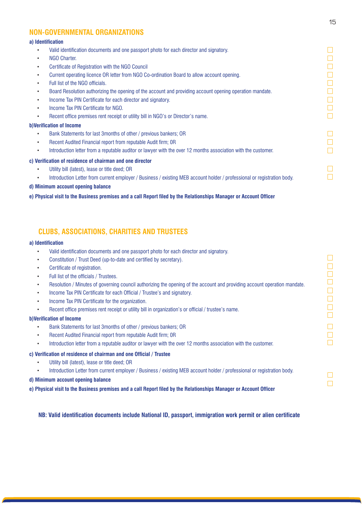### **NON-GOVERNMENTAL ORGANIZATIONS**

### **a) Identification**

- Valid identification documents and one passport photo for each director and signatory.
- **NGO Charter.**
- Certificate of Registration with the NGO Council
- Current operating licence OR letter from NGO Co-ordination Board to allow account opening.
- Full list of the NGO officials.
- Board Resolution authorizing the opening of the account and providing account opening operation mandate.
- Income Tax PIN Certificate for each director and signatory.
- Income Tax PIN Certificate for NGO.
- Recent office premises rent receipt or utility bill in NGO's or Director's name.

### **b)Verification of Income**

- Bank Statements for last 3months of other / previous bankers; OR
- Recent Audited Financial report from reputable Audit firm; OR
- Introduction letter from a reputable auditor or lawyer with the over 12 months association with the customer.

### **c) Verification of residence of chairman and one director**

- Utility bill (latest), lease or title deed; OR
	- Introduction Letter from current employer / Business / existing MEB account holder / professional or registration body.
- **d) Minimum account opening balance**

### **e) Physical visit to the Business premises and a call Report filed by the Relationships Manager or Account Officer**

### **CLUBS, ASSOCIATIONS, CHARITIES AND TRUSTEES**

### **a) Identification**

- Valid identification documents and one passport photo for each director and signatory.
- Constitution / Trust Deed (up-to-date and certified by secretary).
- Certificate of registration.
- Full list of the officials / Trustees.
- Resolution / Minutes of governing council authorizing the opening of the account and providing account operation mandate.
- Income Tax PIN Certificate for each Official / Trustee's and signatory.
- Income Tax PIN Certificate for the organization.
- Recent office premises rent receipt or utility bill in organization's or official / trustee's name.

### **b)Verification of Income**

- Bank Statements for last 3months of other / previous bankers; OR
- Recent Audited Financial report from reputable Audit firm; OR
- Introduction letter from a reputable auditor or lawyer with the over 12 months association with the customer.

### **c) Verification of residence of chairman and one Official / Trustee**

- Utility bill (latest), lease or title deed; OR
- Introduction Letter from current employer / Business / existing MEB account holder / professional or registration body.
- **d) Minimum account opening balance**
- **e) Physical visit to the Business premises and a call Report filed by the Relationships Manager or Account Officer**

**NB: Valid identification documents include National ID, passport, immigration work permit or alien certificate**

15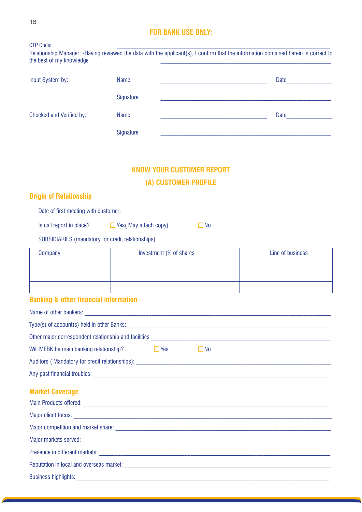| 16                                                |                                  |                                                                                           |                                                                                                                                      |
|---------------------------------------------------|----------------------------------|-------------------------------------------------------------------------------------------|--------------------------------------------------------------------------------------------------------------------------------------|
| <b>CTP Code:</b><br>the best of my knowledge      | <b>FOR BANK USE ONLY:</b>        |                                                                                           | Relationship Manager: -Having reviewed the data with the applicant(s), I confirm that the information contained herein is correct to |
| Input System by:                                  | <b>Name</b>                      |                                                                                           | Date                                                                                                                                 |
|                                                   | Signature                        | the control of the control of the control of the control of the control of the control of |                                                                                                                                      |
| <b>Checked and Verified by:</b>                   | <b>Name</b>                      |                                                                                           | Date                                                                                                                                 |
|                                                   | Signature                        |                                                                                           |                                                                                                                                      |
|                                                   |                                  |                                                                                           |                                                                                                                                      |
|                                                   | <b>KNOW YOUR CUSTOMER REPORT</b> |                                                                                           |                                                                                                                                      |
|                                                   | (A) CUSTOMER PROFILE             |                                                                                           |                                                                                                                                      |
| <b>Origin of Relationship</b>                     |                                  |                                                                                           |                                                                                                                                      |
| Date of first meeting with customer:              |                                  |                                                                                           |                                                                                                                                      |
| Is call report in place?                          | $\Box$ Yes (May attach copy)     | No                                                                                        |                                                                                                                                      |
| SUBSIDIARIES (mandatory for credit relationships) |                                  |                                                                                           |                                                                                                                                      |
| Company                                           | Investment (% of shares          |                                                                                           | Line of business                                                                                                                     |
|                                                   |                                  |                                                                                           |                                                                                                                                      |
|                                                   |                                  |                                                                                           |                                                                                                                                      |
| <b>Banking &amp; other financial information</b>  |                                  |                                                                                           |                                                                                                                                      |
|                                                   |                                  |                                                                                           |                                                                                                                                      |
|                                                   |                                  |                                                                                           |                                                                                                                                      |
|                                                   |                                  |                                                                                           |                                                                                                                                      |
| Will MEBK be main banking relationship?           | $\Box$ Yes                       | $\Box$ No                                                                                 |                                                                                                                                      |
| Auditors (Mandatory for credit relationships):    |                                  |                                                                                           |                                                                                                                                      |

### **Market Coverage**

Any past financial troubles: \_\_\_\_\_\_\_\_\_\_\_\_\_\_\_\_\_\_\_\_\_\_\_\_\_\_\_\_\_\_\_\_\_\_\_\_\_\_\_\_\_\_\_\_\_\_\_\_\_\_\_\_\_\_\_\_\_\_\_\_\_\_\_\_\_\_\_\_\_\_\_\_\_\_\_\_\_\_

| Reputation in local and overseas market: <b>Example 2018</b> 2019 12:30 AM |
|----------------------------------------------------------------------------|
|                                                                            |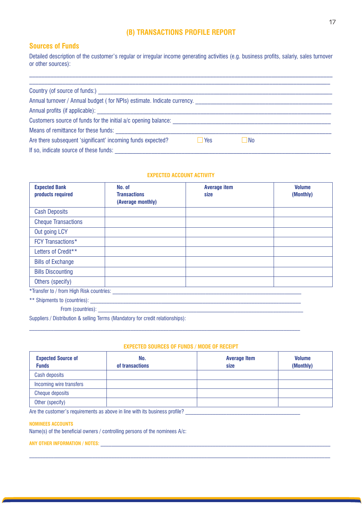### **(B) TRANSACTIONS PROFILE REPORT**

### **Sources of Funds**

Detailed description of the customer's regular or irregular income generating activities (e.g. business profits, salariy, sales turnover or other sources):

 $\_$  , and the state of the state of the state of the state of the state of the state of the state of the state of the state of the state of the state of the state of the state of the state of the state of the state of the

| Country (of source of funds:)                                                                                  |       |    |  |
|----------------------------------------------------------------------------------------------------------------|-------|----|--|
| Annual turnover / Annual budget (for NPIs) estimate. Indicate currency. [16] [16] [16] [16] [16] [16] [16] [16 |       |    |  |
|                                                                                                                |       |    |  |
| Customers source of funds for the initial a/c opening balance:                                                 |       |    |  |
| Means of remittance for these funds:                                                                           |       |    |  |
| Are there subsequent 'significant' incoming funds expected?                                                    | l Yes | No |  |
| If so, indicate source of these funds:<br>the control of the control of the                                    |       |    |  |

### **EXPECTED ACCOUNT ACTIVITY**

| <b>Expected Bank</b><br>products required | No. of<br><b>Transactions</b><br>(Average monthly) | <b>Average item</b><br>size | <b>Volume</b><br>(Monthly) |
|-------------------------------------------|----------------------------------------------------|-----------------------------|----------------------------|
| <b>Cash Deposits</b>                      |                                                    |                             |                            |
| <b>Cheque Transactions</b>                |                                                    |                             |                            |
| Out going LCY                             |                                                    |                             |                            |
| <b>FCY Transactions*</b>                  |                                                    |                             |                            |
| Letters of Credit**                       |                                                    |                             |                            |
| <b>Bills of Exchange</b>                  |                                                    |                             |                            |
| <b>Bills Discounting</b>                  |                                                    |                             |                            |
| Others (specify)                          |                                                    |                             |                            |
| *Transfer to / from High Risk countries:  |                                                    |                             |                            |

\*\* Shipments to (countries): \_\_\_\_\_\_\_\_\_\_\_\_\_\_\_\_\_\_\_\_\_\_\_\_\_\_\_\_\_\_\_\_\_\_\_\_\_\_\_\_\_\_\_\_\_\_\_\_\_\_\_\_\_\_\_\_\_\_\_\_\_\_\_\_\_\_\_\_\_\_\_\_\_\_\_\_\_

From (countries):

Suppliers / Distribution & selling Terms (Mandatory for credit relationships):

### **EXPECTED SOURCES OF FUNDS / MODE OF RECEIPT**

| <b>Expected Source of</b><br><b>Funds</b> | No.<br>of transactions | <b>Average Item</b><br>size | <b>Volume</b><br>(Monthly) |
|-------------------------------------------|------------------------|-----------------------------|----------------------------|
| Cash deposits                             |                        |                             |                            |
| Incoming wire transfers                   |                        |                             |                            |
| <b>Cheque deposits</b>                    |                        |                             |                            |
| Other (specify)                           |                        |                             |                            |

 $\_$  , and the set of the set of the set of the set of the set of the set of the set of the set of the set of the set of the set of the set of the set of the set of the set of the set of the set of the set of the set of th

Are the customer's requirements as above in line with its business profile? \_\_\_\_\_\_\_\_\_\_\_\_\_\_\_\_\_\_\_\_\_\_\_\_\_\_\_\_\_\_\_\_\_\_\_\_\_\_\_\_\_\_

### **NOMINEES ACCOUNTS**

Name(s) of the beneficial owners / controlling persons of the nominees A/c:

**ANY OTHER INFORMATION / NOTES:** \_\_\_\_\_\_\_\_\_\_\_\_\_\_\_\_\_\_\_\_\_\_\_\_\_\_\_\_\_\_\_\_\_\_\_\_\_\_\_\_\_\_\_\_\_\_\_\_\_\_\_\_\_\_\_\_\_\_\_\_\_\_\_\_\_\_\_\_\_\_\_\_\_\_\_\_\_\_\_\_\_\_\_\_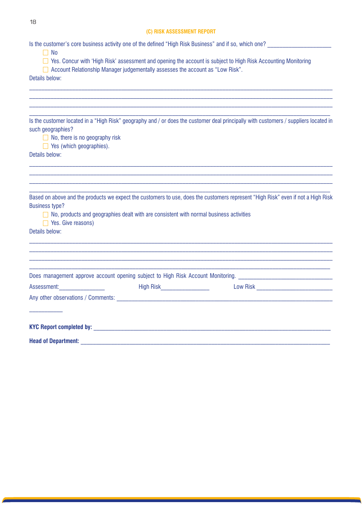### **(C) RISK ASSESSMENT REPORT**

| Is the customer's core business activity one of the defined "High Risk Business" and if so, which one?                 |                                                                                         |                                                                                                                                      |
|------------------------------------------------------------------------------------------------------------------------|-----------------------------------------------------------------------------------------|--------------------------------------------------------------------------------------------------------------------------------------|
| $\Box$ No<br>□ Account Relationship Manager judgementally assesses the account as "Low Risk".                          |                                                                                         | □ Yes. Concur with 'High Risk' assessment and opening the account is subject to High Risk Accounting Monitoring                      |
| Details below:                                                                                                         |                                                                                         |                                                                                                                                      |
|                                                                                                                        |                                                                                         |                                                                                                                                      |
|                                                                                                                        |                                                                                         |                                                                                                                                      |
|                                                                                                                        |                                                                                         | Is the customer located in a "High Risk" geography and / or does the customer deal principally with customers / suppliers located in |
| such geographies?<br>$\Box$ No, there is no geography risk                                                             |                                                                                         |                                                                                                                                      |
| $\Box$ Yes (which geographies).                                                                                        |                                                                                         |                                                                                                                                      |
| Details below:                                                                                                         |                                                                                         |                                                                                                                                      |
|                                                                                                                        |                                                                                         |                                                                                                                                      |
|                                                                                                                        |                                                                                         |                                                                                                                                      |
|                                                                                                                        |                                                                                         | Based on above and the products we expect the customers to use, does the customers represent "High Risk" even if not a High Risk     |
| <b>Business type?</b><br>$\Box$ No, products and geographies dealt with are consistent with normal business activities |                                                                                         |                                                                                                                                      |
| $\Box$ Yes. Give reasons)                                                                                              |                                                                                         |                                                                                                                                      |
| Details below:                                                                                                         |                                                                                         |                                                                                                                                      |
|                                                                                                                        |                                                                                         |                                                                                                                                      |
|                                                                                                                        |                                                                                         |                                                                                                                                      |
|                                                                                                                        |                                                                                         | Does management approve account opening subject to High Risk Account Monitoring. _____________________________                       |
| Assessment: Assessment:                                                                                                | <b>Example 2016 Risk Property Advisory Property Advisory Property Advisory Property</b> |                                                                                                                                      |
|                                                                                                                        |                                                                                         |                                                                                                                                      |
|                                                                                                                        |                                                                                         |                                                                                                                                      |
|                                                                                                                        |                                                                                         |                                                                                                                                      |
| <b>Head of Department:</b>                                                                                             |                                                                                         |                                                                                                                                      |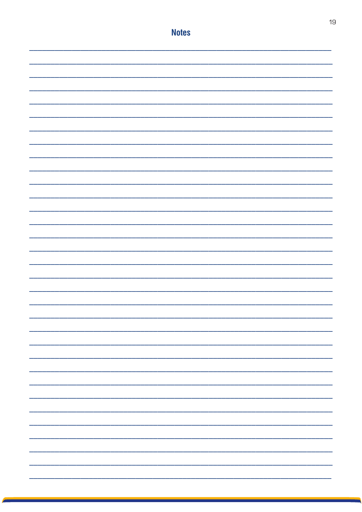|  | <b>Notes</b> |  |
|--|--------------|--|
|  |              |  |
|  |              |  |
|  |              |  |
|  |              |  |
|  |              |  |
|  |              |  |
|  |              |  |
|  |              |  |
|  |              |  |
|  |              |  |
|  |              |  |
|  |              |  |
|  |              |  |
|  |              |  |
|  |              |  |
|  |              |  |
|  |              |  |
|  |              |  |
|  |              |  |
|  |              |  |
|  |              |  |
|  |              |  |
|  |              |  |
|  |              |  |
|  |              |  |
|  |              |  |
|  |              |  |
|  |              |  |
|  |              |  |
|  |              |  |
|  |              |  |
|  |              |  |
|  |              |  |
|  |              |  |
|  |              |  |